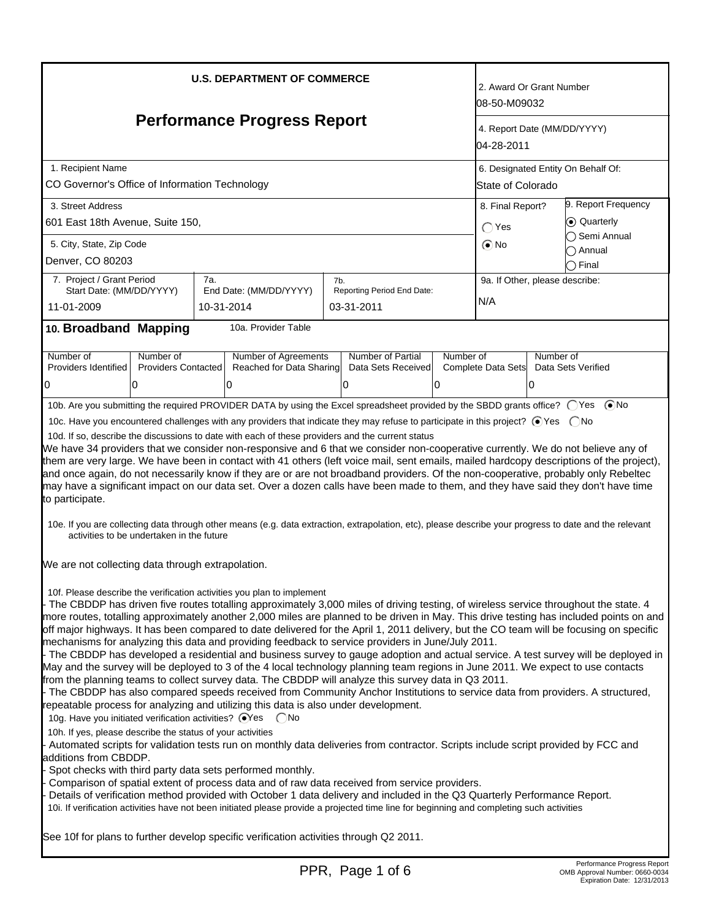| <b>U.S. DEPARTMENT OF COMMERCE</b><br><b>Performance Progress Report</b>                                                                                                                                                                                                                                                                                                                                                                                                                                                                                                                                                                                                                                                                                                                                                                                                                                                                                                                                                                                                                                                                                                                                             |     |                          |     |                            |               | 2. Award Or Grant Number<br>l08-50-M09032<br>4. Report Date (MM/DD/YYYY)<br>04-28-2011 |                              |                             |  |
|----------------------------------------------------------------------------------------------------------------------------------------------------------------------------------------------------------------------------------------------------------------------------------------------------------------------------------------------------------------------------------------------------------------------------------------------------------------------------------------------------------------------------------------------------------------------------------------------------------------------------------------------------------------------------------------------------------------------------------------------------------------------------------------------------------------------------------------------------------------------------------------------------------------------------------------------------------------------------------------------------------------------------------------------------------------------------------------------------------------------------------------------------------------------------------------------------------------------|-----|--------------------------|-----|----------------------------|---------------|----------------------------------------------------------------------------------------|------------------------------|-----------------------------|--|
| 1. Recipient Name                                                                                                                                                                                                                                                                                                                                                                                                                                                                                                                                                                                                                                                                                                                                                                                                                                                                                                                                                                                                                                                                                                                                                                                                    |     |                          |     |                            |               | 6. Designated Entity On Behalf Of:                                                     |                              |                             |  |
| CO Governor's Office of Information Technology                                                                                                                                                                                                                                                                                                                                                                                                                                                                                                                                                                                                                                                                                                                                                                                                                                                                                                                                                                                                                                                                                                                                                                       |     |                          |     |                            |               | <b>State of Colorado</b>                                                               |                              |                             |  |
| 3. Street Address                                                                                                                                                                                                                                                                                                                                                                                                                                                                                                                                                                                                                                                                                                                                                                                                                                                                                                                                                                                                                                                                                                                                                                                                    |     |                          |     |                            |               | 9. Report Frequency<br>8. Final Report?                                                |                              |                             |  |
| 601 East 18th Avenue, Suite 150,                                                                                                                                                                                                                                                                                                                                                                                                                                                                                                                                                                                                                                                                                                                                                                                                                                                                                                                                                                                                                                                                                                                                                                                     |     |                          |     |                            | $\bigcap$ Yes |                                                                                        | C Quarterly<br>◯ Semi Annual |                             |  |
| 5. City, State, Zip Code                                                                                                                                                                                                                                                                                                                                                                                                                                                                                                                                                                                                                                                                                                                                                                                                                                                                                                                                                                                                                                                                                                                                                                                             |     |                          |     |                            |               | $\odot$ No                                                                             |                              | ៝ Annual                    |  |
| Denver, CO 80203                                                                                                                                                                                                                                                                                                                                                                                                                                                                                                                                                                                                                                                                                                                                                                                                                                                                                                                                                                                                                                                                                                                                                                                                     |     |                          |     |                            |               |                                                                                        |                              | $\supset$ Final             |  |
| 7. Project / Grant Period<br>Start Date: (MM/DD/YYYY)                                                                                                                                                                                                                                                                                                                                                                                                                                                                                                                                                                                                                                                                                                                                                                                                                                                                                                                                                                                                                                                                                                                                                                | 7a. | End Date: (MM/DD/YYYY)   | 7b. | Reporting Period End Date: |               | 9a. If Other, please describe:                                                         |                              |                             |  |
| 11-01-2009                                                                                                                                                                                                                                                                                                                                                                                                                                                                                                                                                                                                                                                                                                                                                                                                                                                                                                                                                                                                                                                                                                                                                                                                           |     | 10-31-2014               |     | 03-31-2011                 |               | N/A                                                                                    |                              |                             |  |
|                                                                                                                                                                                                                                                                                                                                                                                                                                                                                                                                                                                                                                                                                                                                                                                                                                                                                                                                                                                                                                                                                                                                                                                                                      |     | 10a. Provider Table      |     |                            |               |                                                                                        |                              |                             |  |
| 10. Broadband Mapping                                                                                                                                                                                                                                                                                                                                                                                                                                                                                                                                                                                                                                                                                                                                                                                                                                                                                                                                                                                                                                                                                                                                                                                                |     |                          |     |                            |               |                                                                                        |                              |                             |  |
| Number of<br>Number of                                                                                                                                                                                                                                                                                                                                                                                                                                                                                                                                                                                                                                                                                                                                                                                                                                                                                                                                                                                                                                                                                                                                                                                               |     | Number of Agreements     |     | <b>Number of Partial</b>   | Number of     |                                                                                        | Number of                    |                             |  |
| <b>Providers Contacted</b><br>Providers Identified                                                                                                                                                                                                                                                                                                                                                                                                                                                                                                                                                                                                                                                                                                                                                                                                                                                                                                                                                                                                                                                                                                                                                                   |     | Reached for Data Sharing |     | Data Sets Received         |               | Complete Data Sets                                                                     |                              | Data Sets Verified          |  |
| 10<br>10                                                                                                                                                                                                                                                                                                                                                                                                                                                                                                                                                                                                                                                                                                                                                                                                                                                                                                                                                                                                                                                                                                                                                                                                             |     | 0                        |     | 10                         | 0             |                                                                                        | IО                           |                             |  |
| 10b. Are you submitting the required PROVIDER DATA by using the Excel spreadsheet provided by the SBDD grants office? (Ses (■No                                                                                                                                                                                                                                                                                                                                                                                                                                                                                                                                                                                                                                                                                                                                                                                                                                                                                                                                                                                                                                                                                      |     |                          |     |                            |               |                                                                                        |                              |                             |  |
| We have 34 providers that we consider non-responsive and 6 that we consider non-cooperative currently. We do not believe any of<br>them are very large. We have been in contact with 41 others (left voice mail, sent emails, mailed hardcopy descriptions of the project),<br>and once again, do not necessarily know if they are or are not broadband providers. Of the non-cooperative, probably only Rebeltec<br>may have a significant impact on our data set. Over a dozen calls have been made to them, and they have said they don't have time<br>to participate.<br>10e. If you are collecting data through other means (e.g. data extraction, extrapolation, etc), please describe your progress to date and the relevant<br>activities to be undertaken in the future                                                                                                                                                                                                                                                                                                                                                                                                                                     |     |                          |     |                            |               |                                                                                        |                              |                             |  |
| 10f. Please describe the verification activities you plan to implement<br>The CBDDP has driven five routes totalling approximately 3,000 miles of driving testing, of wireless service throughout the state. 4<br>more routes, totalling approximately another 2,000 miles are planned to be driven in May. This drive testing has included points on and<br>off major highways. It has been compared to date delivered for the April 1, 2011 delivery, but the CO team will be focusing on specific<br>mechanisms for analyzing this data and providing feedback to service providers in June/July 2011.<br>- The CBDDP has developed a residential and business survey to gauge adoption and actual service. A test survey will be deployed in<br>May and the survey will be deployed to 3 of the 4 local technology planning team regions in June 2011. We expect to use contacts<br>from the planning teams to collect survey data. The CBDDP will analyze this survey data in Q3 2011.<br>- The CBDDP has also compared speeds received from Community Anchor Institutions to service data from providers. A structured,<br>repeatable process for analyzing and utilizing this data is also under development. |     |                          |     |                            |               |                                                                                        |                              |                             |  |
| 10h. If yes, please describe the status of your activities<br>Automated scripts for validation tests run on monthly data deliveries from contractor. Scripts include script provided by FCC and<br>additions from CBDDP.<br>Spot checks with third party data sets performed monthly.<br>Comparison of spatial extent of process data and of raw data received from service providers.<br>Details of verification method provided with October 1 data delivery and included in the Q3 Quarterly Performance Report.<br>10i. If verification activities have not been initiated please provide a projected time line for beginning and completing such activities                                                                                                                                                                                                                                                                                                                                                                                                                                                                                                                                                     |     |                          |     |                            |               |                                                                                        |                              |                             |  |
| See 10f for plans to further develop specific verification activities through Q2 2011.                                                                                                                                                                                                                                                                                                                                                                                                                                                                                                                                                                                                                                                                                                                                                                                                                                                                                                                                                                                                                                                                                                                               |     |                          |     | PPR Page 1 of 6            |               |                                                                                        |                              | Performance Progress Report |  |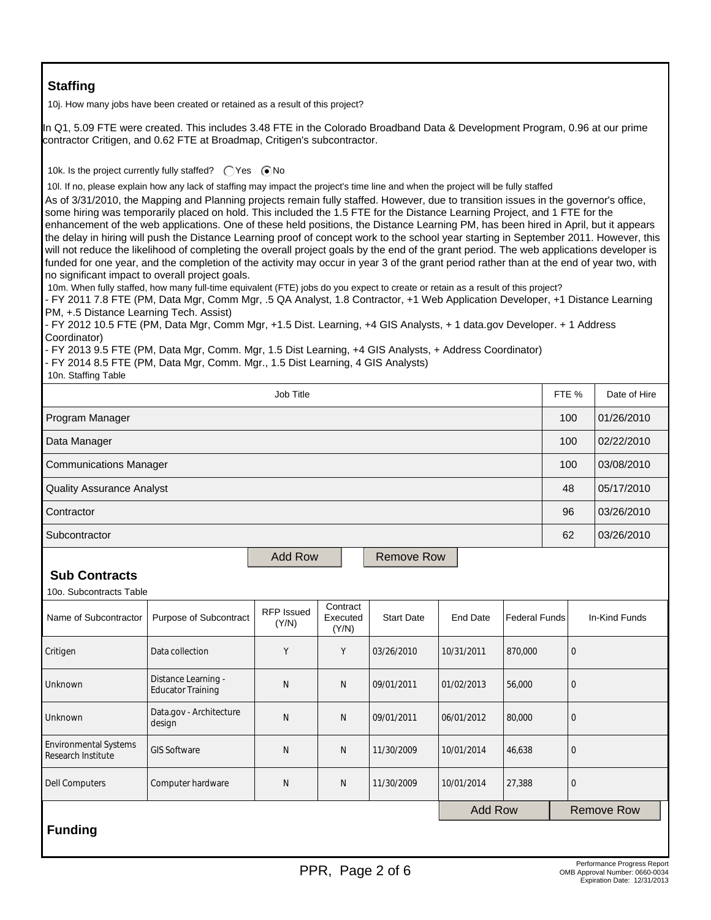# **Staffing**

10j. How many jobs have been created or retained as a result of this project?

In Q1, 5.09 FTE were created. This includes 3.48 FTE in the Colorado Broadband Data & Development Program, 0.96 at our prime contractor Critigen, and 0.62 FTE at Broadmap, Critigen's subcontractor. 10k. Is the project currently fully staffed?  $\bigcirc$  Yes  $\bigcirc$  No 10l. If no, please explain how any lack of staffing may impact the project's time line and when the project will be fully staffed As of 3/31/2010, the Mapping and Planning projects remain fully staffed. However, due to transition issues in the governor's office, some hiring was temporarily placed on hold. This included the 1.5 FTE for the Distance Learning Project, and 1 FTE for the enhancement of the web applications. One of these held positions, the Distance Learning PM, has been hired in April, but it appears the delay in hiring will push the Distance Learning proof of concept work to the school year starting in September 2011. However, this will not reduce the likelihood of completing the overall project goals by the end of the grant period. The web applications developer is funded for one year, and the completion of the activity may occur in year 3 of the grant period rather than at the end of year two, with no significant impact to overall project goals. 10m. When fully staffed, how many full-time equivalent (FTE) jobs do you expect to create or retain as a result of this project? - FY 2011 7.8 FTE (PM, Data Mgr, Comm Mgr, .5 QA Analyst, 1.8 Contractor, +1 Web Application Developer, +1 Distance Learning PM, +.5 Distance Learning Tech. Assist) - FY 2012 10.5 FTE (PM, Data Mgr, Comm Mgr, +1.5 Dist. Learning, +4 GIS Analysts, + 1 data.gov Developer. + 1 Address Coordinator) - FY 2013 9.5 FTE (PM, Data Mgr, Comm. Mgr, 1.5 Dist Learning, +4 GIS Analysts, + Address Coordinator) - FY 2014 8.5 FTE (PM, Data Mgr, Comm. Mgr., 1.5 Dist Learning, 4 GIS Analysts) 10n. Staffing Table Job Title Form the Second Library of American control of the Second Library of Hire Second Library of American Program Manager 100 01/26/2010 100 01/26/2010 100 01/26/2010 100 01/26/2010 100 01/26/2010 Data Manager 100 02/22/2010 Communications Manager 100 03/08/2010 Quality Assurance Analyst 48 05/17/2010 Contractor 96 03/26/2010 Subcontractor 62 03/26/2010 Add Row | Remove Row **Sub Contracts** 10o. Subcontracts Table Name of Subcontractor Purpose of Subcontract RFP Issued (Y/N) **Contract** Executed (Y/N) Start Date | End Date | Federal Funds | In-Kind Funds Critigen | Data collection | Y | Y | 03/26/2010 |10/31/2011 |870,000 | 0 Unknown Distance Learning -Distance Learning - N | N | 09/01/2011 | 01/02/2013 | 56,000 | 0<br>Educator Training Unknown Data.gov - Architecture<br>design Data.gov Architecture | N | N | 09/01/2011 | 06/01/2012 | 80,000 | 0<br>design Environmental Systems Environmental systems GIS Software N N N 11/30/2009 10/01/2014 46,638 0 Dell Computers Computer hardware N N 11/30/2009 10/01/2014 27,388 0 Add Row  $\parallel$  Remove Row  **Funding**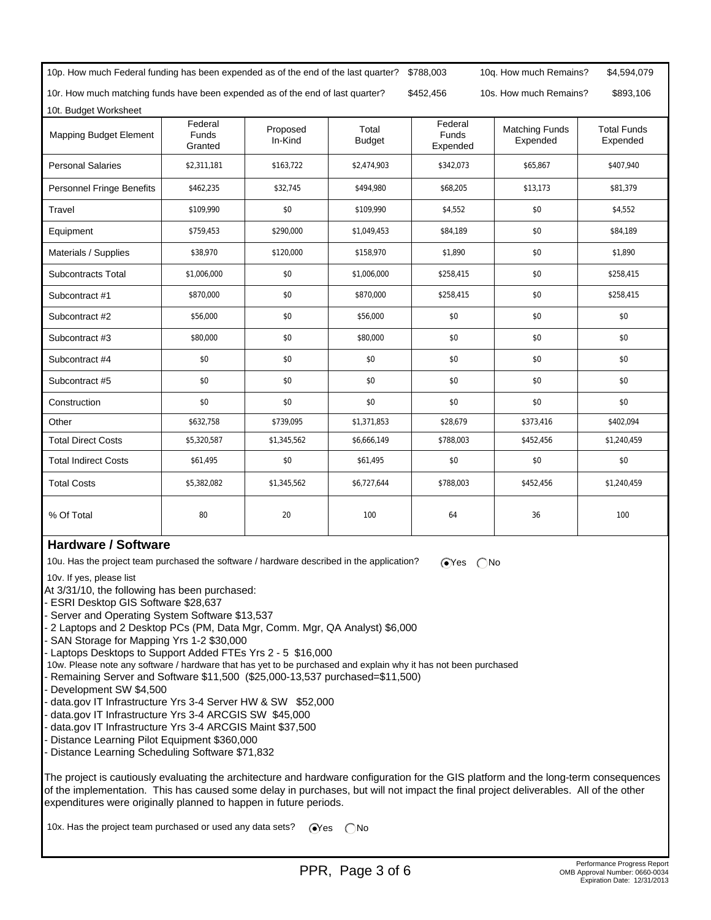| 10p. How much Federal funding has been expended as of the end of the last quarter? |                                    |                                                  | \$788,003              | 10q. How much Remains?              | \$4,594,079                       |                                |  |
|------------------------------------------------------------------------------------|------------------------------------|--------------------------------------------------|------------------------|-------------------------------------|-----------------------------------|--------------------------------|--|
| 10r. How much matching funds have been expended as of the end of last quarter?     |                                    | \$452,456<br>10s. How much Remains?<br>\$893,106 |                        |                                     |                                   |                                |  |
| 10t. Budget Worksheet                                                              |                                    |                                                  |                        |                                     |                                   |                                |  |
| <b>Mapping Budget Element</b>                                                      | Federal<br><b>Funds</b><br>Granted | Proposed<br>In-Kind                              | Total<br><b>Budget</b> | Federal<br><b>Funds</b><br>Expended | <b>Matching Funds</b><br>Expended | <b>Total Funds</b><br>Expended |  |
| <b>Personal Salaries</b>                                                           | \$2,311,181                        | \$163,722                                        | \$2,474,903            | \$342,073                           | \$65,867                          | \$407,940                      |  |
| Personnel Fringe Benefits                                                          | \$462,235                          | \$32,745                                         | \$494,980              | \$68,205                            | \$13,173                          | \$81,379                       |  |
| Travel                                                                             | \$109,990                          | \$0                                              | \$109,990              | \$4,552                             | \$0                               | \$4,552                        |  |
| Equipment                                                                          | \$759,453                          | \$290,000                                        | \$1,049,453            | \$84,189                            | \$0                               | \$84,189                       |  |
| Materials / Supplies                                                               | \$38,970                           | \$120,000                                        | \$158,970              | \$1,890                             | \$0                               | \$1,890                        |  |
| <b>Subcontracts Total</b>                                                          | \$1,006,000                        | \$0                                              | \$1,006,000            | \$258,415                           | \$0                               | \$258,415                      |  |
| Subcontract #1                                                                     | \$870,000                          | \$0                                              | \$870,000              | \$258,415                           | \$0                               | \$258,415                      |  |
| Subcontract #2                                                                     | \$56,000                           | \$0                                              | \$56,000               | \$0                                 | \$0                               | \$0                            |  |
| Subcontract #3                                                                     | \$80,000                           | \$0                                              | \$80,000               | \$0                                 | \$0                               | \$0                            |  |
| Subcontract #4                                                                     | \$0                                | \$0                                              | \$0                    | \$0                                 | \$0                               | \$0                            |  |
| Subcontract #5                                                                     | \$0                                | \$0                                              | \$0                    | \$0                                 | \$0                               | \$0                            |  |
| Construction                                                                       | \$0                                | \$0                                              | \$0                    | \$0                                 | \$0                               | \$0                            |  |
| Other                                                                              | \$632,758                          | \$739,095                                        | \$1,371,853            | \$28,679                            | \$373,416                         | \$402,094                      |  |
| <b>Total Direct Costs</b>                                                          | \$5,320,587                        | \$1,345,562                                      | \$6,666,149            | \$788,003                           | \$452,456                         | \$1,240,459                    |  |
| <b>Total Indirect Costs</b>                                                        | \$61,495                           | \$0                                              | \$61,495               | \$0                                 | \$0                               | \$0                            |  |
| <b>Total Costs</b>                                                                 | \$5,382,082                        | \$1,345,562                                      | \$6,727,644            | \$788,003                           | \$452,456                         | \$1,240,459                    |  |
| % Of Total                                                                         | 80                                 | 20                                               | 100                    | 64                                  | 36                                | 100                            |  |

### **Hardware / Software**

10u. Has the project team purchased the software / hardware described in the application?  $\bigcirc$ Yes  $\bigcirc$ No

10v. If yes, please list

At 3/31/10, the following has been purchased:

- ESRI Desktop GIS Software \$28,637

- Server and Operating System Software \$13,537

- 2 Laptops and 2 Desktop PCs (PM, Data Mgr, Comm. Mgr, QA Analyst) \$6,000

- SAN Storage for Mapping Yrs 1-2 \$30,000

- Laptops Desktops to Support Added FTEs Yrs 2 - 5 \$16,000

- 10w. Please note any software / hardware that has yet to be purchased and explain why it has not been purchased
- Remaining Server and Software \$11,500 (\$25,000-13,537 purchased=\$11,500)
- Development SW \$4,500
- data.gov IT Infrastructure Yrs 3-4 Server HW & SW \$52,000
- data.gov IT Infrastructure Yrs 3-4 ARCGIS SW \$45,000
- data.gov IT Infrastructure Yrs 3-4 ARCGIS Maint \$37,500
- Distance Learning Pilot Equipment \$360,000
- Distance Learning Scheduling Software \$71,832

The project is cautiously evaluating the architecture and hardware configuration for the GIS platform and the long-term consequences of the implementation. This has caused some delay in purchases, but will not impact the final project deliverables. All of the other expenditures were originally planned to happen in future periods.

10x. Has the project team purchased or used any data sets?  $\bigcirc$ Yes  $\bigcirc$ No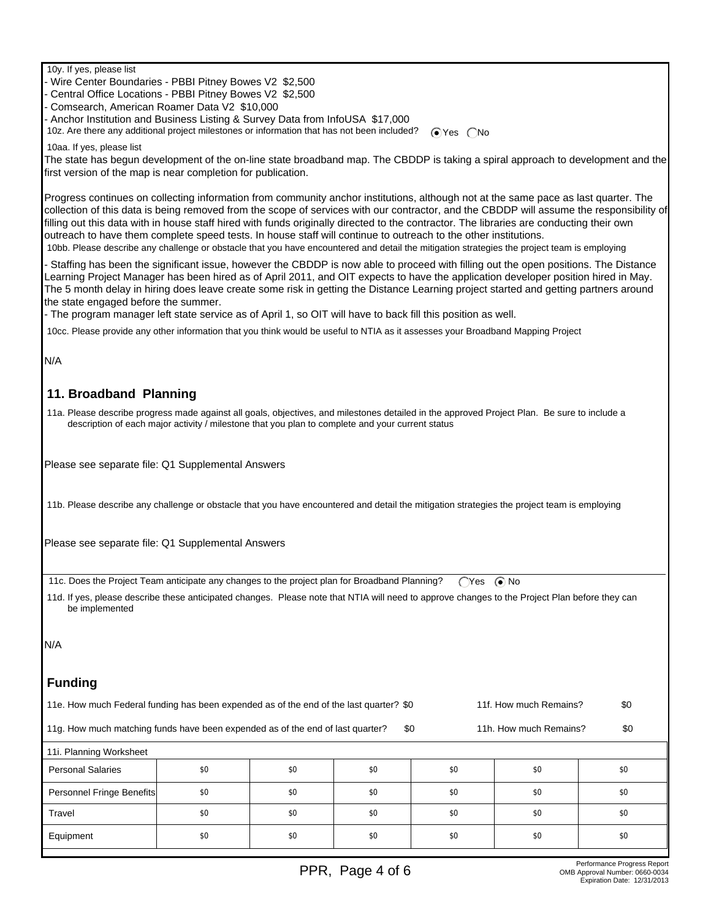10y. If yes, please list

- Wire Center Boundaries - PBBI Pitney Bowes V2 \$2,500

- Central Office Locations - PBBI Pitney Bowes V2 \$2,500

- Comsearch, American Roamer Data V2 \$10,000

- Anchor Institution and Business Listing & Survey Data from InfoUSA \$17,000

10z. Are there any additional project milestones or information that has not been included?  $\bigcirc$  Yes  $\bigcirc$  No

10aa. If yes, please list

The state has begun development of the on-line state broadband map. The CBDDP is taking a spiral approach to development and the first version of the map is near completion for publication.

Progress continues on collecting information from community anchor institutions, although not at the same pace as last quarter. The collection of this data is being removed from the scope of services with our contractor, and the CBDDP will assume the responsibility of filling out this data with in house staff hired with funds originally directed to the contractor. The libraries are conducting their own outreach to have them complete speed tests. In house staff will continue to outreach to the other institutions.

10bb. Please describe any challenge or obstacle that you have encountered and detail the mitigation strategies the project team is employing

- Staffing has been the significant issue, however the CBDDP is now able to proceed with filling out the open positions. The Distance Learning Project Manager has been hired as of April 2011, and OIT expects to have the application developer position hired in May. The 5 month delay in hiring does leave create some risk in getting the Distance Learning project started and getting partners around the state engaged before the summer.

- The program manager left state service as of April 1, so OIT will have to back fill this position as well.

10cc. Please provide any other information that you think would be useful to NTIA as it assesses your Broadband Mapping Project

N/A

#### **11. Broadband Planning**

 11a. Please describe progress made against all goals, objectives, and milestones detailed in the approved Project Plan. Be sure to include a description of each major activity / milestone that you plan to complete and your current status

Please see separate file: Q1 Supplemental Answers

11b. Please describe any challenge or obstacle that you have encountered and detail the mitigation strategies the project team is employing

Please see separate file: Q1 Supplemental Answers

11c. Does the Project Team anticipate any changes to the project plan for Broadband Planning? ( $\bigcap$ Yes ( $\bigcirc$  No

 11d. If yes, please describe these anticipated changes. Please note that NTIA will need to approve changes to the Project Plan before they can be implemented

N/A

#### **Funding**

| 11f. How much Remains?<br>11e. How much Federal funding has been expended as of the end of the last quarter? \$0 |     |     |                        |     |     |     |  |
|------------------------------------------------------------------------------------------------------------------|-----|-----|------------------------|-----|-----|-----|--|
| 11g. How much matching funds have been expended as of the end of last quarter?                                   |     | \$0 | 11h. How much Remains? |     |     |     |  |
| 11i. Planning Worksheet                                                                                          |     |     |                        |     |     |     |  |
| <b>Personal Salaries</b>                                                                                         | \$0 | \$0 | \$0                    | \$0 | \$0 | \$0 |  |
| Personnel Fringe Benefits                                                                                        | \$0 | \$0 | \$0                    | \$0 | \$0 | \$0 |  |
| Travel                                                                                                           | \$0 | \$0 | \$0                    | \$0 | \$0 | \$0 |  |
| Equipment                                                                                                        | \$0 | \$0 | \$0                    | \$0 | \$0 | \$0 |  |
|                                                                                                                  |     |     |                        |     |     |     |  |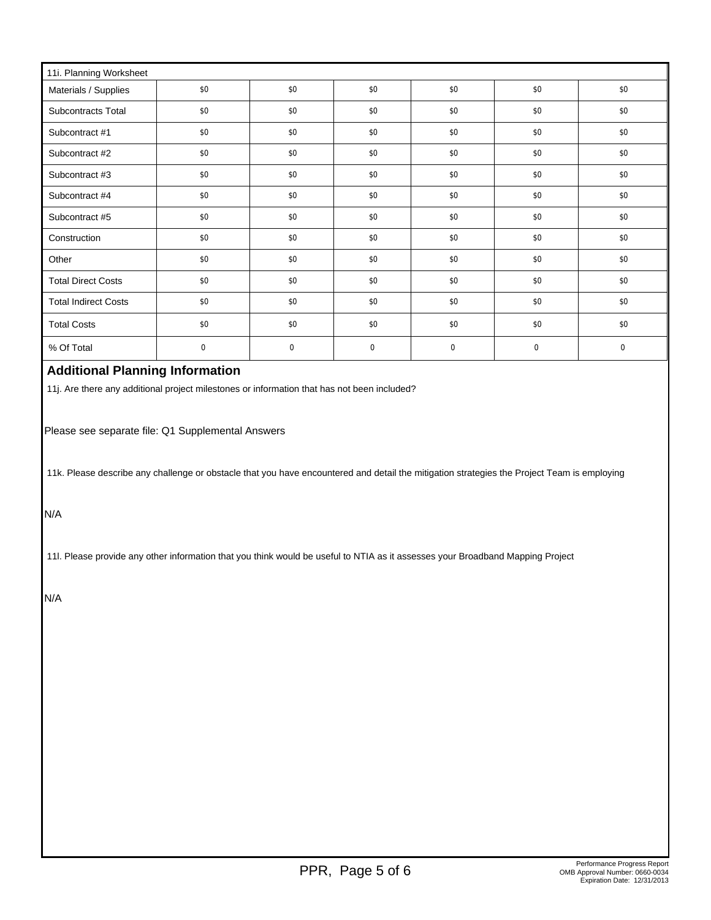| 11i. Planning Worksheet     |     |     |             |     |             |     |
|-----------------------------|-----|-----|-------------|-----|-------------|-----|
| Materials / Supplies        | \$0 | \$0 | \$0         | \$0 | \$0         | \$0 |
| Subcontracts Total          | \$0 | \$0 | \$0         | \$0 | \$0         | \$0 |
| Subcontract #1              | \$0 | \$0 | \$0         | \$0 | \$0         | \$0 |
| Subcontract #2              | \$0 | \$0 | \$0         | \$0 | \$0         | \$0 |
| Subcontract #3              | \$0 | \$0 | \$0         | \$0 | \$0         | \$0 |
| Subcontract #4              | \$0 | \$0 | \$0         | \$0 | \$0         | \$0 |
| Subcontract #5              | \$0 | \$0 | \$0         | \$0 | \$0         | \$0 |
| Construction                | \$0 | \$0 | \$0         | \$0 | \$0         | \$0 |
| Other                       | \$0 | \$0 | \$0         | \$0 | \$0         | \$0 |
| <b>Total Direct Costs</b>   | \$0 | \$0 | \$0         | \$0 | \$0         | \$0 |
| <b>Total Indirect Costs</b> | \$0 | \$0 | \$0         | \$0 | \$0         | \$0 |
| <b>Total Costs</b>          | \$0 | \$0 | \$0         | \$0 | \$0         | \$0 |
| % Of Total                  | 0   | 0   | $\mathbf 0$ | 0   | $\mathbf 0$ | 0   |

# **Additional Planning Information**

11j. Are there any additional project milestones or information that has not been included?

Please see separate file: Q1 Supplemental Answers

11k. Please describe any challenge or obstacle that you have encountered and detail the mitigation strategies the Project Team is employing

N/A

11l. Please provide any other information that you think would be useful to NTIA as it assesses your Broadband Mapping Project

N/A